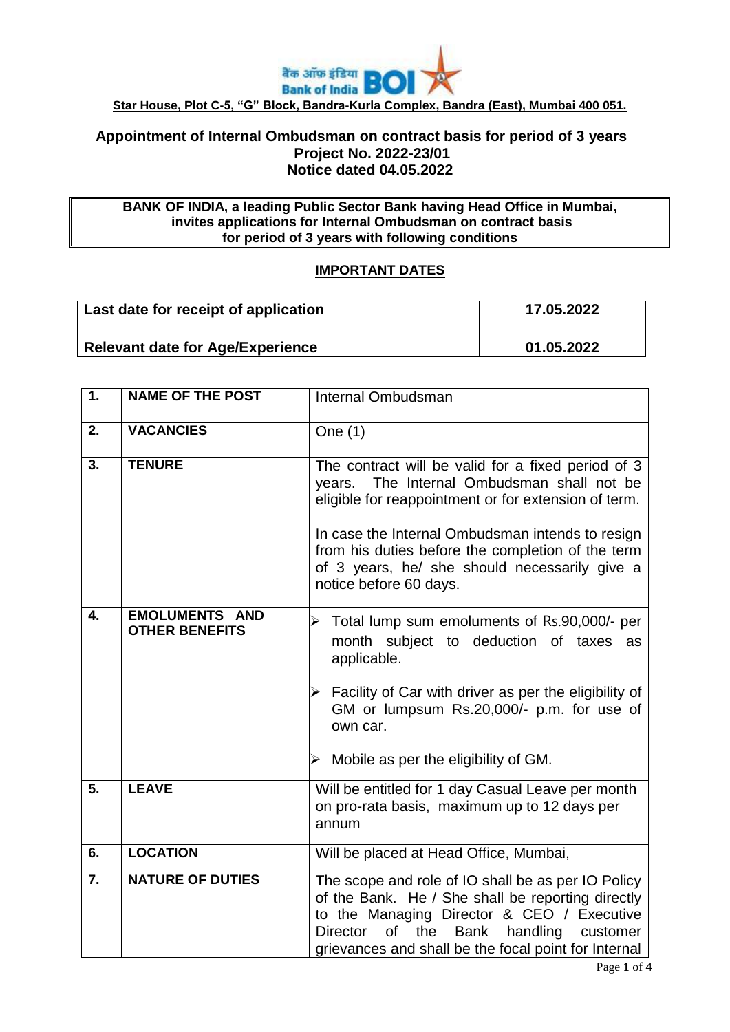

## **Appointment of Internal Ombudsman on contract basis for period of 3 years Project No. 2022-23/01 Notice dated 04.05.2022**

#### **BANK OF INDIA, a leading Public Sector Bank having Head Office in Mumbai, invites applications for Internal Ombudsman on contract basis for period of 3 years with following conditions**

# **IMPORTANT DATES**

| Last date for receipt of application    | 17.05.2022 |
|-----------------------------------------|------------|
| <b>Relevant date for Age/Experience</b> | 01.05.2022 |

| 1.               | <b>NAME OF THE POST</b>                        | Internal Ombudsman                                                                                                                                                                                                                                                                                                                              |
|------------------|------------------------------------------------|-------------------------------------------------------------------------------------------------------------------------------------------------------------------------------------------------------------------------------------------------------------------------------------------------------------------------------------------------|
| 2.               | <b>VACANCIES</b>                               | One (1)                                                                                                                                                                                                                                                                                                                                         |
| 3.               | <b>TENURE</b>                                  | The contract will be valid for a fixed period of 3<br>The Internal Ombudsman shall not be<br>vears.<br>eligible for reappointment or for extension of term.<br>In case the Internal Ombudsman intends to resign<br>from his duties before the completion of the term<br>of 3 years, he/ she should necessarily give a<br>notice before 60 days. |
| 4.               | <b>EMOLUMENTS AND</b><br><b>OTHER BENEFITS</b> | $\triangleright$ Total lump sum emoluments of Rs.90,000/- per<br>month subject to deduction of taxes as<br>applicable.<br>Facility of Car with driver as per the eligibility of<br>GM or lumpsum Rs.20,000/- p.m. for use of<br>own car.<br>$\triangleright$ Mobile as per the eligibility of GM.                                               |
| 5.               | <b>LEAVE</b>                                   | Will be entitled for 1 day Casual Leave per month<br>on pro-rata basis, maximum up to 12 days per<br>annum                                                                                                                                                                                                                                      |
| 6.               | <b>LOCATION</b>                                | Will be placed at Head Office, Mumbai,                                                                                                                                                                                                                                                                                                          |
| $\overline{7}$ . | <b>NATURE OF DUTIES</b>                        | The scope and role of IO shall be as per IO Policy<br>of the Bank. He / She shall be reporting directly<br>to the Managing Director & CEO / Executive<br>Director<br>of<br>the<br>Bank<br>handling customer<br>grievances and shall be the focal point for Internal                                                                             |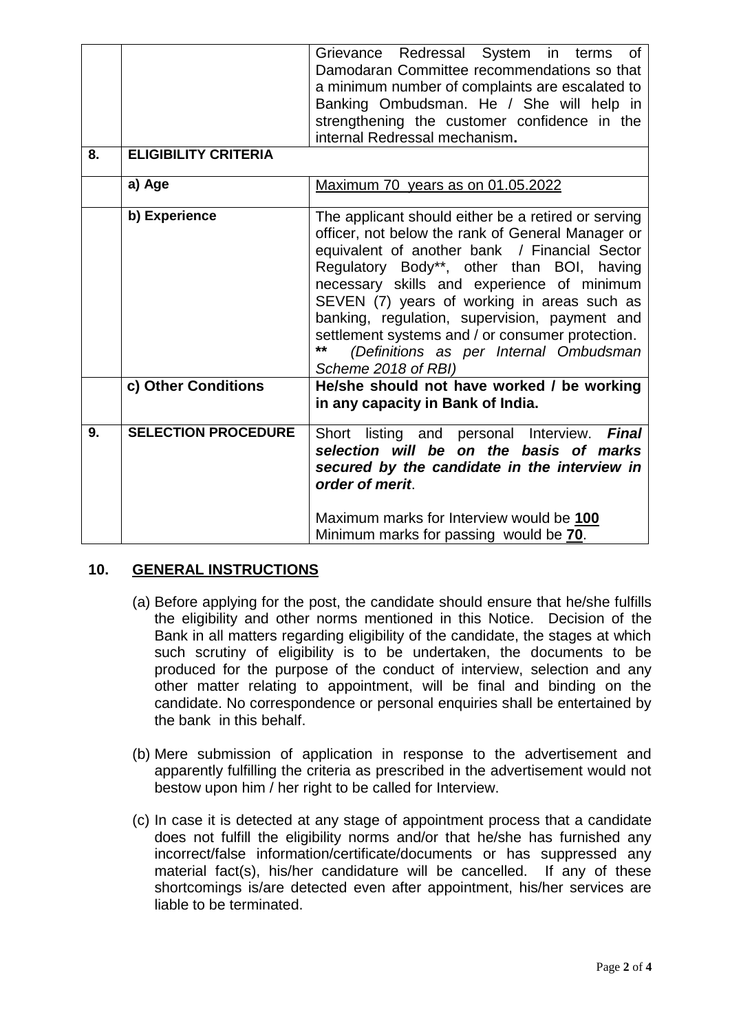| 8. | <b>ELIGIBILITY CRITERIA</b> | Grievance Redressal System in terms of<br>Damodaran Committee recommendations so that<br>a minimum number of complaints are escalated to<br>Banking Ombudsman. He / She will help in<br>strengthening the customer confidence in the<br>internal Redressal mechanism.                                                                                                                                                                                                           |
|----|-----------------------------|---------------------------------------------------------------------------------------------------------------------------------------------------------------------------------------------------------------------------------------------------------------------------------------------------------------------------------------------------------------------------------------------------------------------------------------------------------------------------------|
|    | a) Age                      | Maximum 70 years as on 01.05.2022                                                                                                                                                                                                                                                                                                                                                                                                                                               |
|    | b) Experience               | The applicant should either be a retired or serving<br>officer, not below the rank of General Manager or<br>equivalent of another bank / Financial Sector<br>Regulatory Body**, other than BOI, having<br>necessary skills and experience of minimum<br>SEVEN (7) years of working in areas such as<br>banking, regulation, supervision, payment and<br>settlement systems and / or consumer protection.<br>**<br>(Definitions as per Internal Ombudsman<br>Scheme 2018 of RBI) |
|    | c) Other Conditions         | He/she should not have worked / be working<br>in any capacity in Bank of India.                                                                                                                                                                                                                                                                                                                                                                                                 |
| 9. | <b>SELECTION PROCEDURE</b>  | Short listing and personal Interview.<br><b>Final</b><br>selection will be on the basis of marks<br>secured by the candidate in the interview in<br>order of merit.<br>Maximum marks for Interview would be 100<br>Minimum marks for passing would be 70.                                                                                                                                                                                                                       |

## **10. GENERAL INSTRUCTIONS**

- (a) Before applying for the post, the candidate should ensure that he/she fulfills the eligibility and other norms mentioned in this Notice. Decision of the Bank in all matters regarding eligibility of the candidate, the stages at which such scrutiny of eligibility is to be undertaken, the documents to be produced for the purpose of the conduct of interview, selection and any other matter relating to appointment, will be final and binding on the candidate. No correspondence or personal enquiries shall be entertained by the bank in this behalf.
- (b) Mere submission of application in response to the advertisement and apparently fulfilling the criteria as prescribed in the advertisement would not bestow upon him / her right to be called for Interview.
- (c) In case it is detected at any stage of appointment process that a candidate does not fulfill the eligibility norms and/or that he/she has furnished any incorrect/false information/certificate/documents or has suppressed any material fact(s), his/her candidature will be cancelled. If any of these shortcomings is/are detected even after appointment, his/her services are liable to be terminated.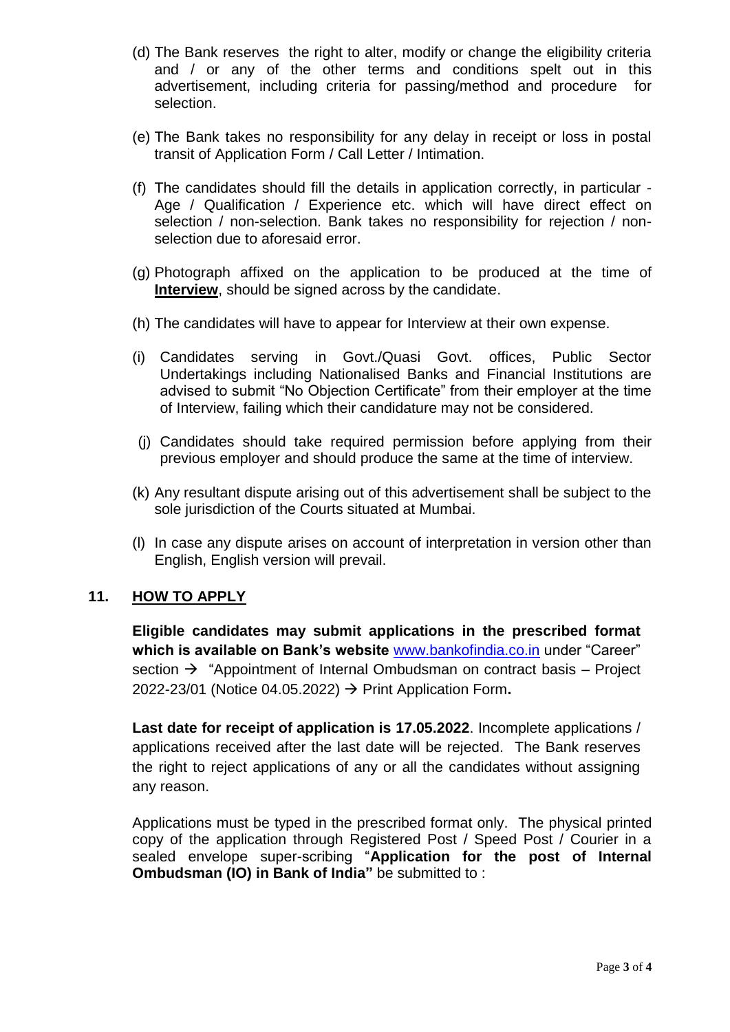- (d) The Bank reserves the right to alter, modify or change the eligibility criteria and / or any of the other terms and conditions spelt out in this advertisement, including criteria for passing/method and procedure for selection.
- (e) The Bank takes no responsibility for any delay in receipt or loss in postal transit of Application Form / Call Letter / Intimation.
- (f) The candidates should fill the details in application correctly, in particular Age / Qualification / Experience etc. which will have direct effect on selection / non-selection. Bank takes no responsibility for rejection / nonselection due to aforesaid error.
- (g) Photograph affixed on the application to be produced at the time of **Interview**, should be signed across by the candidate.
- (h) The candidates will have to appear for Interview at their own expense.
- (i) Candidates serving in Govt./Quasi Govt. offices, Public Sector Undertakings including Nationalised Banks and Financial Institutions are advised to submit "No Objection Certificate" from their employer at the time of Interview, failing which their candidature may not be considered.
- (j) Candidates should take required permission before applying from their previous employer and should produce the same at the time of interview.
- (k) Any resultant dispute arising out of this advertisement shall be subject to the sole jurisdiction of the Courts situated at Mumbai.
- (l) In case any dispute arises on account of interpretation in version other than English, English version will prevail.

## **11. HOW TO APPLY**

**Eligible candidates may submit applications in the prescribed format which is available on Bank's website** [www.bankofindia.co.in](http://www.bankofindia.co.in/) under "Career" section  $\rightarrow$  "Appointment of Internal Ombudsman on contract basis – Project 2022-23/01 (Notice 04.05.2022) Print Application Form**.** 

**Last date for receipt of application is 17.05.2022**. Incomplete applications / applications received after the last date will be rejected.The Bank reserves the right to reject applications of any or all the candidates without assigning any reason.

Applications must be typed in the prescribed format only. The physical printed copy of the application through Registered Post / Speed Post / Courier in a sealed envelope super-scribing "**Application for the post of Internal Ombudsman (IO) in Bank of India"** be submitted to :